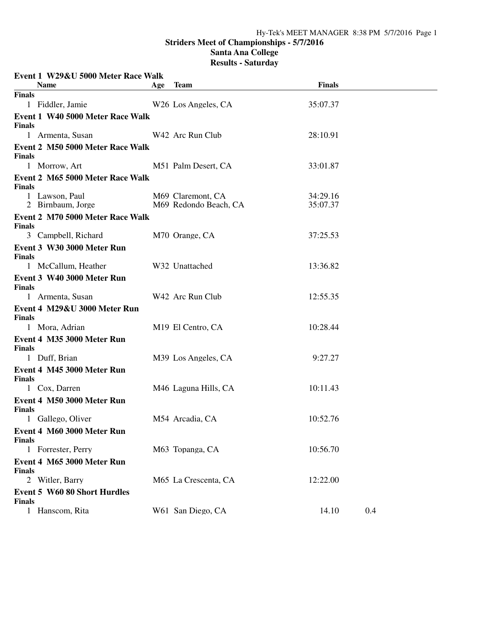## **Santa Ana College**

| Event 1 W29&U 5000 Meter Race Walk                   |     |                                            |                      |     |
|------------------------------------------------------|-----|--------------------------------------------|----------------------|-----|
| <b>Name</b>                                          | Age | <b>Team</b>                                | <b>Finals</b>        |     |
| <b>Finals</b>                                        |     |                                            |                      |     |
| 1 Fiddler, Jamie                                     |     | W <sub>26</sub> Los Angeles, CA            | 35:07.37             |     |
| Event 1 W40 5000 Meter Race Walk<br><b>Finals</b>    |     |                                            |                      |     |
| 1 Armenta, Susan                                     |     | W42 Arc Run Club                           | 28:10.91             |     |
| Event 2 M50 5000 Meter Race Walk<br><b>Finals</b>    |     |                                            |                      |     |
| 1 Morrow, Art                                        |     | M51 Palm Desert, CA                        | 33:01.87             |     |
| Event 2 M65 5000 Meter Race Walk<br><b>Finals</b>    |     |                                            |                      |     |
| 1 Lawson, Paul<br>2 Birnbaum, Jorge                  |     | M69 Claremont, CA<br>M69 Redondo Beach, CA | 34:29.16<br>35:07.37 |     |
| Event 2 M70 5000 Meter Race Walk<br><b>Finals</b>    |     |                                            |                      |     |
| 3 Campbell, Richard                                  |     | M70 Orange, CA                             | 37:25.53             |     |
| Event 3 W30 3000 Meter Run<br><b>Finals</b>          |     |                                            |                      |     |
| 1 McCallum, Heather                                  |     | W32 Unattached                             | 13:36.82             |     |
| Event 3 W40 3000 Meter Run<br><b>Finals</b>          |     |                                            |                      |     |
| 1 Armenta, Susan                                     |     | W42 Arc Run Club                           | 12:55.35             |     |
| Event 4 M29&U 3000 Meter Run<br><b>Finals</b>        |     |                                            |                      |     |
| 1 Mora, Adrian                                       |     | M <sub>19</sub> El Centro, CA              | 10:28.44             |     |
| Event 4 M35 3000 Meter Run<br><b>Finals</b>          |     |                                            |                      |     |
| 1 Duff, Brian                                        |     | M39 Los Angeles, CA                        | 9:27.27              |     |
| Event 4 M45 3000 Meter Run<br><b>Finals</b>          |     |                                            |                      |     |
| 1 Cox, Darren                                        |     | M46 Laguna Hills, CA                       | 10:11.43             |     |
| Event 4 M50 3000 Meter Run<br><b>Finals</b>          |     |                                            |                      |     |
| 1 Gallego, Oliver                                    |     | M54 Arcadia, CA                            | 10:52.76             |     |
| Event 4 M60 3000 Meter Run<br><b>Finals</b>          |     |                                            |                      |     |
| 1 Forrester, Perry                                   |     | M63 Topanga, CA                            | 10:56.70             |     |
| Event 4 M65 3000 Meter Run<br><b>Finals</b>          |     |                                            |                      |     |
| 2 Witler, Barry                                      |     | M65 La Crescenta, CA                       | 12:22.00             |     |
| <b>Event 5 W60 80 Short Hurdles</b><br><b>Finals</b> |     |                                            |                      |     |
| 1 Hanscom, Rita                                      |     | W61 San Diego, CA                          | 14.10                | 0.4 |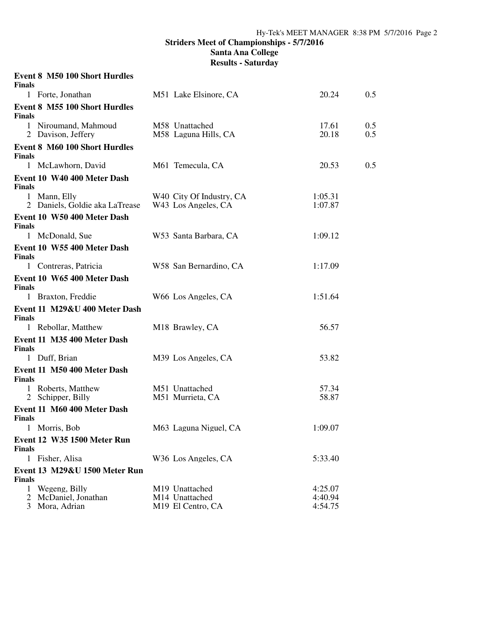## **Striders Meet of Championships - 5/7/2016 Santa Ana College Results - Saturday**

| <b>Finals</b> | <b>Event 8 M50 100 Short Hurdles</b>                |                                                                   |                               |            |
|---------------|-----------------------------------------------------|-------------------------------------------------------------------|-------------------------------|------------|
|               | 1 Forte, Jonathan                                   | M51 Lake Elsinore, CA                                             | 20.24                         | 0.5        |
| <b>Finals</b> | <b>Event 8 M55 100 Short Hurdles</b>                |                                                                   |                               |            |
|               | 1 Niroumand, Mahmoud<br>2 Davison, Jeffery          | M58 Unattached<br>M58 Laguna Hills, CA                            | 17.61<br>20.18                | 0.5<br>0.5 |
| <b>Finals</b> | <b>Event 8 M60 100 Short Hurdles</b>                |                                                                   |                               |            |
|               | 1 McLawhorn, David                                  | M61 Temecula, CA                                                  | 20.53                         | 0.5        |
| <b>Finals</b> | Event 10 W40 400 Meter Dash                         |                                                                   |                               |            |
|               | 1 Mann, Elly<br>2 Daniels, Goldie aka LaTrease      | W <sub>40</sub> City Of Industry, CA<br>W43 Los Angeles, CA       | 1:05.31<br>1:07.87            |            |
| <b>Finals</b> | Event 10 W50 400 Meter Dash                         |                                                                   |                               |            |
|               | 1 McDonald, Sue                                     | W53 Santa Barbara, CA                                             | 1:09.12                       |            |
| <b>Finals</b> | Event 10 W55 400 Meter Dash                         |                                                                   |                               |            |
|               | 1 Contreras, Patricia                               | W58 San Bernardino, CA                                            | 1:17.09                       |            |
| <b>Finals</b> | Event 10 W65 400 Meter Dash                         |                                                                   |                               |            |
|               | 1 Braxton, Freddie                                  | W66 Los Angeles, CA                                               | 1:51.64                       |            |
| <b>Finals</b> | Event 11 M29&U 400 Meter Dash                       |                                                                   |                               |            |
|               | 1 Rebollar, Matthew                                 | M18 Brawley, CA                                                   | 56.57                         |            |
| <b>Finals</b> | Event 11 M35 400 Meter Dash                         |                                                                   |                               |            |
|               | 1 Duff, Brian                                       | M39 Los Angeles, CA                                               | 53.82                         |            |
| <b>Finals</b> | Event 11 M50 400 Meter Dash                         |                                                                   |                               |            |
|               | 1 Roberts, Matthew<br>2 Schipper, Billy             | M51 Unattached<br>M51 Murrieta, CA                                | 57.34<br>58.87                |            |
| Finals        | Event 11 M60 400 Meter Dash                         |                                                                   |                               |            |
|               | 1 Morris, Bob                                       | M63 Laguna Niguel, CA                                             | 1:09.07                       |            |
| <b>Finals</b> | <b>Event 12 W35 1500 Meter Run</b>                  |                                                                   |                               |            |
|               | 1 Fisher, Alisa                                     | W36 Los Angeles, CA                                               | 5:33.40                       |            |
|               | <b>Event 13 M29&amp;U 1500 Meter Run</b>            |                                                                   |                               |            |
| Finals        |                                                     |                                                                   |                               |            |
| 1<br>2<br>3   | Wegeng, Billy<br>McDaniel, Jonathan<br>Mora, Adrian | M19 Unattached<br>M14 Unattached<br>M <sub>19</sub> El Centro, CA | 4:25.07<br>4:40.94<br>4:54.75 |            |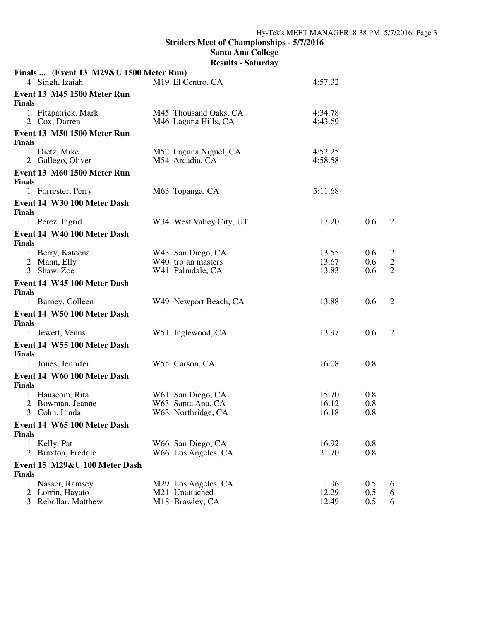|                     | Finals  (Event 13 M29&U 1500 Meter Run) |                                                    |                    |            |                              |
|---------------------|-----------------------------------------|----------------------------------------------------|--------------------|------------|------------------------------|
|                     | 4 Singh, Izaiah                         | M <sub>19</sub> El Centro, CA                      | 4:57.32            |            |                              |
|                     | Event 13 M45 1500 Meter Run             |                                                    |                    |            |                              |
| <b>Finals</b>       | 1 Fitzpatrick, Mark                     | M45 Thousand Oaks, CA                              | 4:34.78            |            |                              |
|                     | 2 Cox, Darren                           | M46 Laguna Hills, CA                               | 4:43.69            |            |                              |
| <b>Finals</b>       | <b>Event 13 M50 1500 Meter Run</b>      |                                                    |                    |            |                              |
|                     | 1 Dietz, Mike<br>2 Gallego, Oliver      | M52 Laguna Niguel, CA<br>M54 Arcadia, CA           | 4:52.25<br>4:58.58 |            |                              |
| <b>Finals</b>       | Event 13 M60 1500 Meter Run             |                                                    |                    |            |                              |
|                     | 1 Forrester, Perry                      | M63 Topanga, CA                                    | 5:11.68            |            |                              |
| <b>Finals</b>       | Event 14 W30 100 Meter Dash             |                                                    |                    |            |                              |
|                     | 1 Perez, Ingrid                         | W34 West Valley City, UT                           | 17.20              | 0.6        | 2                            |
| <b>Finals</b>       | Event 14 W40 100 Meter Dash             |                                                    |                    |            |                              |
|                     | 1 Berry, Kateena                        | W43 San Diego, CA                                  | 13.55              | 0.6        | $\overline{c}$               |
|                     | 2 Mann, Elly<br>3 Shaw, Zoe             | W <sub>40</sub> trojan masters<br>W41 Palmdale, CA | 13.67<br>13.83     | 0.6<br>0.6 | $\sqrt{2}$<br>$\overline{2}$ |
|                     | Event 14 W45 100 Meter Dash             |                                                    |                    |            |                              |
| <b>Finals</b>       |                                         |                                                    |                    |            |                              |
|                     | 1 Barney, Colleen                       | W49 Newport Beach, CA                              | 13.88              | 0.6        | 2                            |
| <b>Finals</b>       | Event 14 W50 100 Meter Dash             |                                                    |                    |            |                              |
|                     | 1 Jewett, Venus                         | W51 Inglewood, CA                                  | 13.97              | 0.6        | 2                            |
| <b>Finals</b>       | Event 14 W55 100 Meter Dash             |                                                    |                    |            |                              |
|                     | 1 Jones, Jennifer                       | W55 Carson, CA                                     | 16.08              | 0.8        |                              |
| <b>Finals</b>       | Event 14 W60 100 Meter Dash             |                                                    |                    |            |                              |
|                     | 1 Hanscom, Rita                         | W61 San Diego, CA                                  | 15.70              | 0.8        |                              |
| 2<br>$\mathfrak{Z}$ | Bowman, Jeanne<br>Cohn, Linda           | W63 Santa Ana, CA<br>W63 Northridge, CA            | 16.12<br>16.18     | 0.8<br>0.8 |                              |
|                     | Event 14 W65 100 Meter Dash             |                                                    |                    |            |                              |
| <b>Finals</b>       |                                         |                                                    |                    |            |                              |
| $\mathbf{1}$<br>2   | Kelly, Pat<br>Braxton, Freddie          | W66 San Diego, CA<br>W66 Los Angeles, CA           | 16.92<br>21.70     | 0.8<br>0.8 |                              |
|                     | Event 15 M29&U 100 Meter Dash           |                                                    |                    |            |                              |
| <b>Finals</b>       |                                         |                                                    |                    |            |                              |
| 1                   | Nasser, Ramsey                          | M29 Los Angeles, CA                                | 11.96              | 0.5        | 6                            |
| 2                   | Lorrin, Hayato<br>3 Rebollar, Matthew   | M21 Unattached<br>M18 Brawley, CA                  | 12.29<br>12.49     | 0.5<br>0.5 | 6<br>6                       |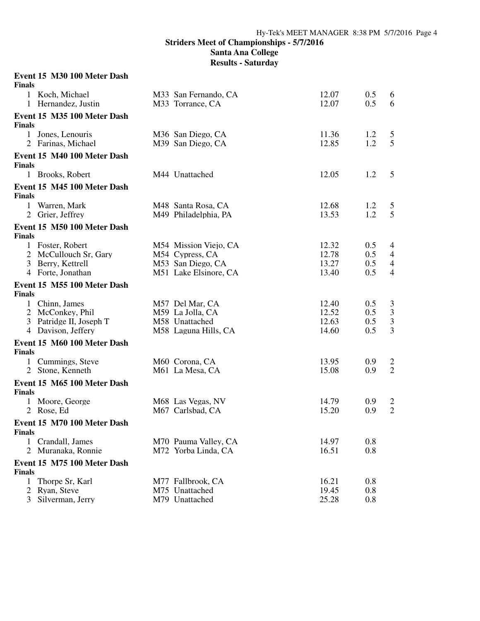**Santa Ana College Results - Saturday**

#### **Event 15 M30 100 Meter Dash Finals**

| гипат         |                                            |                                          |                |            |                                  |
|---------------|--------------------------------------------|------------------------------------------|----------------|------------|----------------------------------|
|               | 1 Koch, Michael<br>1 Hernandez, Justin     | M33 San Fernando, CA<br>M33 Torrance, CA | 12.07<br>12.07 | 0.5<br>0.5 | 6<br>6                           |
|               | Event 15 M35 100 Meter Dash                |                                          |                |            |                                  |
| <b>Finals</b> |                                            |                                          |                |            |                                  |
| $\mathbf{1}$  | Jones, Lenouris                            | M36 San Diego, CA                        | 11.36          | 1.2        | 5                                |
|               | 2 Farinas, Michael                         | M39 San Diego, CA                        | 12.85          | 1.2        | 5                                |
| <b>Finals</b> | Event 15 M40 100 Meter Dash                |                                          |                |            |                                  |
|               | 1 Brooks, Robert                           | M44 Unattached                           | 12.05          | 1.2        | 5                                |
| <b>Finals</b> | Event 15 M45 100 Meter Dash                |                                          |                |            |                                  |
| $\mathbf{1}$  | Warren, Mark                               | M48 Santa Rosa, CA                       | 12.68          | 1.2        | 5                                |
|               | 2 Grier, Jeffrey                           | M49 Philadelphia, PA                     | 13.53          | 1.2        | 5                                |
|               | Event 15 M50 100 Meter Dash                |                                          |                |            |                                  |
| <b>Finals</b> |                                            |                                          |                |            |                                  |
|               | 1 Foster, Robert                           | M54 Mission Viejo, CA                    | 12.32<br>12.78 | 0.5<br>0.5 | 4                                |
|               | 2 McCullouch Sr, Gary<br>3 Berry, Kettrell | M54 Cypress, CA<br>M53 San Diego, CA     | 13.27          | 0.5        | $\overline{4}$<br>$\overline{4}$ |
|               | 4 Forte, Jonathan                          | M51 Lake Elsinore, CA                    | 13.40          | 0.5        | $\overline{4}$                   |
| <b>Finals</b> | Event 15 M55 100 Meter Dash                |                                          |                |            |                                  |
| $\mathbf{1}$  | Chinn, James                               | M57 Del Mar, CA                          | 12.40          | 0.5        | 3                                |
|               | 2 McConkey, Phil                           | M59 La Jolla, CA                         | 12.52          | 0.5        | $\mathfrak{Z}$                   |
| 3             | Patridge II, Joseph T                      | M58 Unattached                           | 12.63          | 0.5        | $\overline{3}$                   |
|               | 4 Davison, Jeffery                         | M58 Laguna Hills, CA                     | 14.60          | 0.5        | 3                                |
| <b>Finals</b> | Event 15 M60 100 Meter Dash                |                                          |                |            |                                  |
| $\mathbf{1}$  | Cummings, Steve                            | M60 Corona, CA                           | 13.95          | 0.9        | $\overline{c}$                   |
|               | 2 Stone, Kenneth                           | M61 La Mesa, CA                          | 15.08          | 0.9        | $\overline{2}$                   |
| <b>Finals</b> | Event 15 M65 100 Meter Dash                |                                          |                |            |                                  |
| 1             | Moore, George                              | M68 Las Vegas, NV                        | 14.79          | 0.9        | $\overline{c}$                   |
| 2             | Rose, Ed                                   | M67 Carlsbad, CA                         | 15.20          | 0.9        | $\overline{2}$                   |
| <b>Finals</b> | Event 15 M70 100 Meter Dash                |                                          |                |            |                                  |
| 1             | Crandall, James                            | M70 Pauma Valley, CA                     | 14.97          | 0.8        |                                  |
| 2             | Muranaka, Ronnie                           | M72 Yorba Linda, CA                      | 16.51          | 0.8        |                                  |
| <b>Finals</b> | Event 15 M75 100 Meter Dash                |                                          |                |            |                                  |
| 1             | Thorpe Sr, Karl                            | M77 Fallbrook, CA                        | 16.21          | 0.8        |                                  |
| 2             | Ryan, Steve                                | M75 Unattached                           | 19.45          | 0.8        |                                  |
| 3             | Silverman, Jerry                           | M79 Unattached                           | 25.28          | 0.8        |                                  |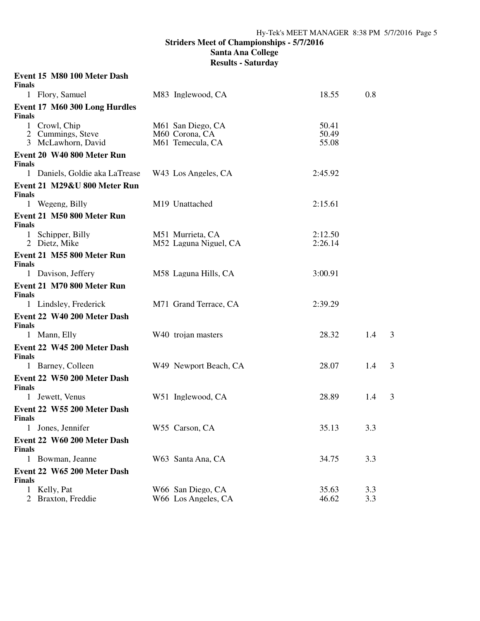| <b>Finals</b>     | Event 15 M80 100 Meter Dash                              |                                                         |                         |            |   |
|-------------------|----------------------------------------------------------|---------------------------------------------------------|-------------------------|------------|---|
|                   | 1 Flory, Samuel                                          | M83 Inglewood, CA                                       | 18.55                   | 0.8        |   |
| <b>Finals</b>     | Event 17 M60 300 Long Hurdles                            |                                                         |                         |            |   |
|                   | 1 Crowl, Chip<br>2 Cummings, Steve<br>3 McLawhorn, David | M61 San Diego, CA<br>M60 Corona, CA<br>M61 Temecula, CA | 50.41<br>50.49<br>55.08 |            |   |
| <b>Finals</b>     | Event 20 W40 800 Meter Run                               |                                                         |                         |            |   |
|                   | 1 Daniels, Goldie aka LaTrease                           | W43 Los Angeles, CA                                     | 2:45.92                 |            |   |
| <b>Finals</b>     | Event 21 M29&U 800 Meter Run                             |                                                         |                         |            |   |
|                   | 1 Wegeng, Billy                                          | M19 Unattached                                          | 2:15.61                 |            |   |
| <b>Finals</b>     | Event 21 M50 800 Meter Run                               |                                                         |                         |            |   |
|                   | 1 Schipper, Billy<br>2 Dietz, Mike                       | M51 Murrieta, CA<br>M52 Laguna Niguel, CA               | 2:12.50<br>2:26.14      |            |   |
| <b>Finals</b>     | Event 21 M55 800 Meter Run                               |                                                         |                         |            |   |
|                   | 1 Davison, Jeffery                                       | M58 Laguna Hills, CA                                    | 3:00.91                 |            |   |
| <b>Finals</b>     | Event 21 M70 800 Meter Run                               |                                                         |                         |            |   |
|                   | 1 Lindsley, Frederick                                    | M71 Grand Terrace, CA                                   | 2:39.29                 |            |   |
| <b>Finals</b>     | Event 22 W40 200 Meter Dash                              |                                                         |                         |            |   |
|                   | 1 Mann, Elly                                             | W <sub>40</sub> trojan masters                          | 28.32                   | 1.4        | 3 |
| <b>Finals</b>     | Event 22 W45 200 Meter Dash                              |                                                         |                         |            |   |
|                   | 1 Barney, Colleen                                        | W49 Newport Beach, CA                                   | 28.07                   | 1.4        | 3 |
| <b>Finals</b>     | Event 22 W50 200 Meter Dash                              |                                                         |                         |            |   |
|                   | 1 Jewett, Venus                                          | W51 Inglewood, CA                                       | 28.89                   | 1.4        | 3 |
| <b>Finals</b>     | Event 22 W55 200 Meter Dash                              |                                                         |                         |            |   |
| 1                 | Jones, Jennifer                                          | W55 Carson, CA                                          | 35.13                   | 3.3        |   |
| <b>Finals</b>     | Event 22 W60 200 Meter Dash                              |                                                         |                         |            |   |
|                   | 1 Bowman, Jeanne                                         | W63 Santa Ana, CA                                       | 34.75                   | 3.3        |   |
| <b>Finals</b>     | Event 22 W65 200 Meter Dash                              |                                                         |                         |            |   |
| $\mathbf{1}$<br>2 | Kelly, Pat<br>Braxton, Freddie                           | W66 San Diego, CA<br>W66 Los Angeles, CA                | 35.63<br>46.62          | 3.3<br>3.3 |   |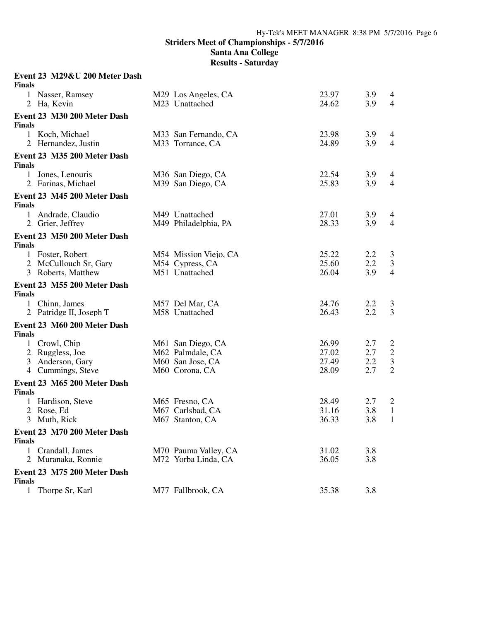**Results - Saturday**

#### **Event 23 M29&U 200 Meter Dash Finals**

| г шав         |                             |                       |       |     |                |
|---------------|-----------------------------|-----------------------|-------|-----|----------------|
|               | 1 Nasser, Ramsey            | M29 Los Angeles, CA   | 23.97 | 3.9 | 4              |
|               | 2 Ha, Kevin                 | M23 Unattached        | 24.62 | 3.9 | $\overline{4}$ |
|               | Event 23 M30 200 Meter Dash |                       |       |     |                |
| <b>Finals</b> |                             |                       |       |     |                |
|               | 1 Koch, Michael             | M33 San Fernando, CA  | 23.98 | 3.9 | 4              |
|               | 2 Hernandez, Justin         | M33 Torrance, CA      | 24.89 | 3.9 | $\overline{4}$ |
| <b>Finals</b> | Event 23 M35 200 Meter Dash |                       |       |     |                |
|               | 1 Jones, Lenouris           | M36 San Diego, CA     | 22.54 | 3.9 | 4              |
|               | 2 Farinas, Michael          | M39 San Diego, CA     | 25.83 | 3.9 | $\overline{4}$ |
| <b>Finals</b> | Event 23 M45 200 Meter Dash |                       |       |     |                |
|               | 1 Andrade, Claudio          | M49 Unattached        | 27.01 | 3.9 | 4              |
|               | 2 Grier, Jeffrey            | M49 Philadelphia, PA  | 28.33 | 3.9 | $\overline{4}$ |
| <b>Finals</b> | Event 23 M50 200 Meter Dash |                       |       |     |                |
|               | 1 Foster, Robert            | M54 Mission Viejo, CA | 25.22 | 2.2 | 3              |
|               | 2 McCullouch Sr, Gary       | M54 Cypress, CA       | 25.60 | 2.2 | $\mathfrak{Z}$ |
|               | 3 Roberts, Matthew          | M51 Unattached        | 26.04 | 3.9 | $\overline{4}$ |
|               | Event 23 M55 200 Meter Dash |                       |       |     |                |
| <b>Finals</b> |                             |                       |       |     |                |
|               | 1 Chinn, James              | M57 Del Mar, CA       | 24.76 | 2.2 | 3              |
|               | 2 Patridge II, Joseph T     | M58 Unattached        | 26.43 | 2.2 | $\overline{3}$ |
| <b>Finals</b> | Event 23 M60 200 Meter Dash |                       |       |     |                |
|               | 1 Crowl, Chip               | M61 San Diego, CA     | 26.99 | 2.7 | $\overline{2}$ |
|               | 2 Ruggless, Joe             | M62 Palmdale, CA      | 27.02 | 2.7 | $\sqrt{2}$     |
|               | 3 Anderson, Gary            | M60 San Jose, CA      | 27.49 | 2.2 | $\mathfrak{Z}$ |
|               | 4 Cummings, Steve           | M60 Corona, CA        | 28.09 | 2.7 | $\overline{2}$ |
| <b>Finals</b> | Event 23 M65 200 Meter Dash |                       |       |     |                |
|               | 1 Hardison, Steve           | M65 Fresno, CA        | 28.49 | 2.7 | $\overline{2}$ |
|               | 2 Rose, Ed                  | M67 Carlsbad, CA      | 31.16 | 3.8 | $\mathbf{1}$   |
|               | 3 Muth, Rick                | M67 Stanton, CA       | 36.33 | 3.8 | $\mathbf{1}$   |
| <b>Finals</b> | Event 23 M70 200 Meter Dash |                       |       |     |                |
|               | 1 Crandall, James           | M70 Pauma Valley, CA  | 31.02 | 3.8 |                |
|               | 2 Muranaka, Ronnie          | M72 Yorba Linda, CA   | 36.05 | 3.8 |                |
| <b>Finals</b> | Event 23 M75 200 Meter Dash |                       |       |     |                |
|               | 1 Thorpe Sr, Karl           | M77 Fallbrook, CA     | 35.38 | 3.8 |                |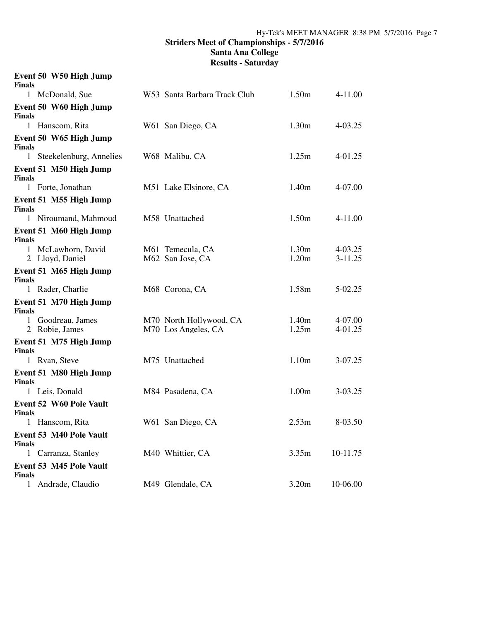## **Striders Meet of Championships - 5/7/2016 Santa Ana College Results - Saturday**

| <b>Finals</b> | Event 50 W50 High Jump                |                                                |                   |                          |
|---------------|---------------------------------------|------------------------------------------------|-------------------|--------------------------|
|               | 1 McDonald, Sue                       | W53 Santa Barbara Track Club                   | 1.50m             | 4-11.00                  |
| <b>Finals</b> | Event 50 W60 High Jump                |                                                |                   |                          |
|               | 1 Hanscom, Rita                       | W61 San Diego, CA                              | 1.30 <sub>m</sub> | $4 - 03.25$              |
| <b>Finals</b> | Event 50 W65 High Jump                |                                                |                   |                          |
|               | 1 Steekelenburg, Annelies             | W68 Malibu, CA                                 | 1.25m             | 4-01.25                  |
| <b>Finals</b> | Event 51 M50 High Jump                |                                                |                   |                          |
|               | 1 Forte, Jonathan                     | M51 Lake Elsinore, CA                          | 1.40m             | 4-07.00                  |
| <b>Finals</b> | Event 51 M55 High Jump                |                                                |                   |                          |
|               | 1 Niroumand, Mahmoud                  | M58 Unattached                                 | 1.50 <sub>m</sub> | 4-11.00                  |
| <b>Finals</b> | Event 51 M60 High Jump                |                                                |                   |                          |
|               | 1 McLawhorn, David<br>2 Lloyd, Daniel | M61 Temecula, CA<br>M62 San Jose, CA           | 1.30m<br>1.20m    | $4 - 03.25$<br>$3-11.25$ |
| <b>Finals</b> | Event 51 M65 High Jump                |                                                |                   |                          |
|               | 1 Rader, Charlie                      | M68 Corona, CA                                 | 1.58m             | 5-02.25                  |
| <b>Finals</b> | Event 51 M70 High Jump                |                                                |                   |                          |
|               | 1 Goodreau, James<br>2 Robie, James   | M70 North Hollywood, CA<br>M70 Los Angeles, CA | 1.40m<br>1.25m    | 4-07.00<br>4-01.25       |
| <b>Finals</b> | Event 51 M75 High Jump                |                                                |                   |                          |
|               | 1 Ryan, Steve                         | M75 Unattached                                 | 1.10 <sub>m</sub> | 3-07.25                  |
| <b>Finals</b> | Event 51 M80 High Jump                |                                                |                   |                          |
|               | 1 Leis, Donald                        | M84 Pasadena, CA                               | 1.00 <sub>m</sub> | $3-03.25$                |
| <b>Finals</b> | <b>Event 52 W60 Pole Vault</b>        |                                                |                   |                          |
|               | 1 Hanscom, Rita                       | W61 San Diego, CA                              | 2.53m             | 8-03.50                  |
| <b>Finals</b> | <b>Event 53 M40 Pole Vault</b>        |                                                |                   |                          |
|               | 1 Carranza, Stanley                   | M40 Whittier, CA                               | 3.35m             | 10-11.75                 |
| <b>Finals</b> | <b>Event 53 M45 Pole Vault</b>        |                                                |                   |                          |
|               | 1 Andrade, Claudio                    | M49 Glendale, CA                               | 3.20m             | 10-06.00                 |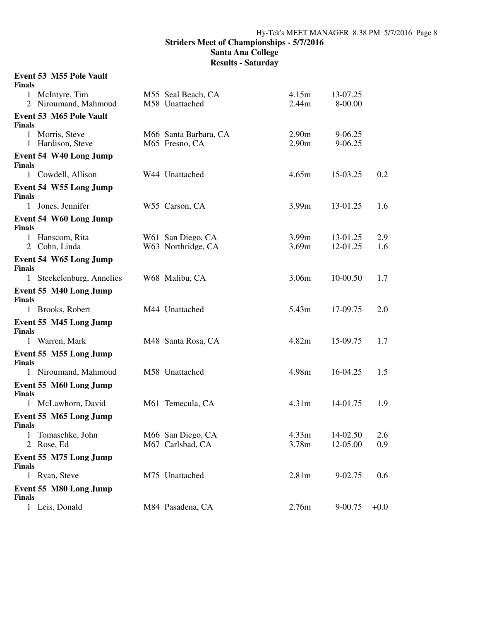**Santa Ana College**

**Results - Saturday**

# **Event 53 M55 Pole Vault**

| <b>Finals</b> |                                                |                                         |                                        |                      |            |
|---------------|------------------------------------------------|-----------------------------------------|----------------------------------------|----------------------|------------|
|               | 1 McIntyre, Tim<br>2 Niroumand, Mahmoud        | M55 Seal Beach, CA<br>M58 Unattached    | 4.15m<br>2.44m                         | 13-07.25<br>8-00.00  |            |
| <b>Finals</b> | <b>Event 53 M65 Pole Vault</b>                 |                                         |                                        |                      |            |
|               | 1 Morris, Steve<br>1 Hardison, Steve           | M66 Santa Barbara, CA<br>M65 Fresno, CA | 2.90 <sub>m</sub><br>2.90 <sub>m</sub> | 9-06.25<br>9-06.25   |            |
| Finals        | Event 54 W40 Long Jump                         |                                         |                                        |                      |            |
|               | 1 Cowdell, Allison                             | W44 Unattached                          | 4.65m                                  | 15-03.25             | 0.2        |
| <b>Finals</b> | Event 54 W55 Long Jump                         |                                         |                                        |                      |            |
|               | 1 Jones, Jennifer                              | W55 Carson, CA                          | 3.99m                                  | 13-01.25             | 1.6        |
| <b>Finals</b> | Event 54 W60 Long Jump                         |                                         |                                        |                      |            |
|               | 1 Hanscom, Rita<br>2 Cohn, Linda               | W61 San Diego, CA<br>W63 Northridge, CA | 3.99m<br>3.69m                         | 13-01.25<br>12-01.25 | 2.9<br>1.6 |
| <b>Finals</b> | Event 54 W65 Long Jump                         |                                         |                                        |                      |            |
| 1             | Steekelenburg, Annelies                        | W68 Malibu, CA                          | 3.06m                                  | 10-00.50             | 1.7        |
| <b>Finals</b> | Event 55 M40 Long Jump                         |                                         |                                        |                      |            |
|               | 1 Brooks, Robert                               | M44 Unattached                          | 5.43m                                  | 17-09.75             | 2.0        |
| <b>Finals</b> | Event 55 M45 Long Jump                         |                                         |                                        |                      |            |
|               | 1 Warren, Mark                                 | M48 Santa Rosa, CA                      | 4.82m                                  | 15-09.75             | 1.7        |
| <b>Finals</b> | Event 55 M55 Long Jump<br>1 Niroumand, Mahmoud | M58 Unattached                          | 4.98m                                  | 16-04.25             | 1.5        |
|               |                                                |                                         |                                        |                      |            |
| <b>Finals</b> | Event 55 M60 Long Jump                         |                                         |                                        |                      |            |
|               | 1 McLawhorn, David                             | M61 Temecula, CA                        | 4.31 <sub>m</sub>                      | 14-01.75             | 1.9        |
| <b>Finals</b> | Event 55 M65 Long Jump                         |                                         |                                        |                      |            |
|               | 1 Tomaschke, John<br>2 Rose, Ed                | M66 San Diego, CA<br>M67 Carlsbad, CA   | 4.33m<br>3.78m                         | 14-02.50<br>12-05.00 | 2.6<br>0.9 |
| <b>Finals</b> | Event 55 M75 Long Jump                         |                                         |                                        |                      |            |
|               | 1 Ryan, Steve                                  | M75 Unattached                          | 2.81 <sub>m</sub>                      | 9-02.75              | 0.6        |
| <b>Finals</b> | Event 55 M80 Long Jump                         |                                         |                                        |                      |            |
|               | 1 Leis, Donald                                 | M84 Pasadena, CA                        | 2.76m                                  | 9-00.75              | $+0.0$     |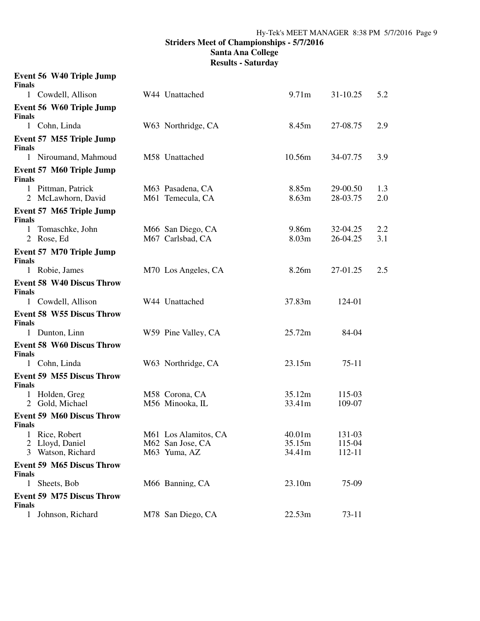**Santa Ana College**

| <b>Finals</b> | Event 56 W40 Triple Jump                         |                                                          |                            |                            |            |
|---------------|--------------------------------------------------|----------------------------------------------------------|----------------------------|----------------------------|------------|
|               | 1 Cowdell, Allison                               | W44 Unattached                                           | 9.71m                      | 31-10.25                   | 5.2        |
| <b>Finals</b> | Event 56 W60 Triple Jump                         |                                                          |                            |                            |            |
|               | 1 Cohn, Linda                                    | W63 Northridge, CA                                       | 8.45m                      | 27-08.75                   | 2.9        |
| <b>Finals</b> | Event 57 M55 Triple Jump                         |                                                          |                            |                            |            |
|               | 1 Niroumand, Mahmoud                             | M58 Unattached                                           | 10.56m                     | 34-07.75                   | 3.9        |
| <b>Finals</b> | <b>Event 57 M60 Triple Jump</b>                  |                                                          |                            |                            |            |
|               | 1 Pittman, Patrick<br>2 McLawhorn, David         | M63 Pasadena, CA<br>M61 Temecula, CA                     | 8.85m<br>8.63m             | 29-00.50<br>28-03.75       | 1.3<br>2.0 |
| <b>Finals</b> | Event 57 M65 Triple Jump                         |                                                          |                            |                            |            |
| $\mathbf{1}$  | Tomaschke, John<br>2 Rose, Ed                    | M66 San Diego, CA<br>M67 Carlsbad, CA                    | 9.86m<br>8.03m             | 32-04.25<br>26-04.25       | 2.2<br>3.1 |
| <b>Finals</b> | Event 57 M70 Triple Jump                         |                                                          |                            |                            |            |
|               | 1 Robie, James                                   | M70 Los Angeles, CA                                      | 8.26m                      | 27-01.25                   | 2.5        |
| <b>Finals</b> | <b>Event 58 W40 Discus Throw</b>                 |                                                          |                            |                            |            |
|               | 1 Cowdell, Allison                               | W44 Unattached                                           | 37.83m                     | 124-01                     |            |
| <b>Finals</b> | <b>Event 58 W55 Discus Throw</b>                 |                                                          |                            |                            |            |
|               | 1 Dunton, Linn                                   | W59 Pine Valley, CA                                      | 25.72m                     | 84-04                      |            |
| <b>Finals</b> | <b>Event 58 W60 Discus Throw</b>                 |                                                          |                            |                            |            |
|               | 1 Cohn, Linda                                    | W63 Northridge, CA                                       | 23.15m                     | $75-11$                    |            |
| <b>Finals</b> | <b>Event 59 M55 Discus Throw</b>                 |                                                          |                            |                            |            |
|               | 1 Holden, Greg<br>2 Gold, Michael                | M58 Corona, CA<br>M56 Minooka, IL                        | 35.12m<br>33.41m           | 115-03<br>109-07           |            |
| <b>Finals</b> | <b>Event 59 M60 Discus Throw</b>                 |                                                          |                            |                            |            |
| 1<br>2<br>3   | Rice, Robert<br>Lloyd, Daniel<br>Watson, Richard | M61 Los Alamitos, CA<br>M62 San Jose, CA<br>M63 Yuma, AZ | 40.01m<br>35.15m<br>34.41m | 131-03<br>115-04<br>112-11 |            |
| <b>Finals</b> | <b>Event 59 M65 Discus Throw</b>                 |                                                          |                            |                            |            |
|               | 1 Sheets, Bob                                    | M66 Banning, CA                                          | 23.10m                     | 75-09                      |            |
| <b>Finals</b> | <b>Event 59 M75 Discus Throw</b>                 |                                                          |                            |                            |            |
| $\mathbf{1}$  | Johnson, Richard                                 | M78 San Diego, CA                                        | 22.53m                     | 73-11                      |            |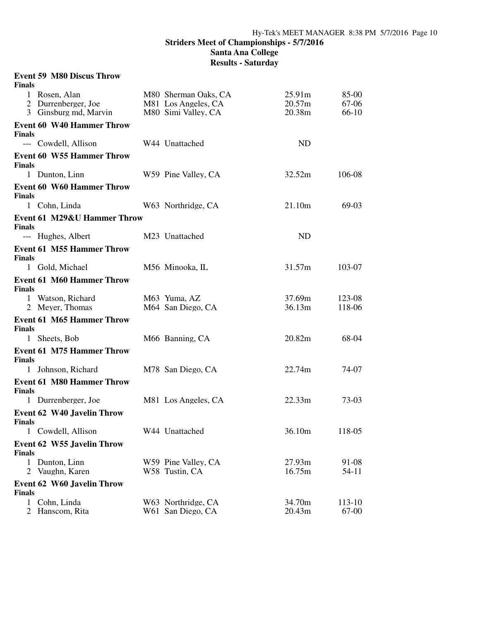**Santa Ana College**

| <b>Finals</b>                  | <b>Event 59 M80 Discus Throw</b>       |                                             |                  |                  |
|--------------------------------|----------------------------------------|---------------------------------------------|------------------|------------------|
|                                | 1 Rosen, Alan<br>2 Durrenberger, Joe   | M80 Sherman Oaks, CA<br>M81 Los Angeles, CA | 25.91m<br>20.57m | 85-00<br>67-06   |
|                                | 3 Ginsburg md, Marvin                  | M80 Simi Valley, CA                         | 20.38m           | 66-10            |
|                                | <b>Event 60 W40 Hammer Throw</b>       |                                             |                  |                  |
| <b>Finals</b>                  | --- Cowdell, Allison                   | W44 Unattached                              | <b>ND</b>        |                  |
| <b>Finals</b>                  | <b>Event 60 W55 Hammer Throw</b>       |                                             |                  |                  |
|                                | 1 Dunton, Linn                         | W59 Pine Valley, CA                         | 32.52m           | 106-08           |
| <b>Finals</b>                  | <b>Event 60 W60 Hammer Throw</b>       |                                             |                  |                  |
|                                | 1 Cohn, Linda                          | W63 Northridge, CA                          | 21.10m           | 69-03            |
| <b>Finals</b>                  | <b>Event 61 M29&amp;U Hammer Throw</b> |                                             |                  |                  |
|                                | --- Hughes, Albert                     | M23 Unattached                              | <b>ND</b>        |                  |
| <b>Finals</b>                  | <b>Event 61 M55 Hammer Throw</b>       |                                             |                  |                  |
|                                | 1 Gold, Michael                        | M56 Minooka, IL                             | 31.57m           | 103-07           |
| <b>Finals</b>                  | <b>Event 61 M60 Hammer Throw</b>       |                                             |                  |                  |
|                                | 1 Watson, Richard<br>2 Meyer, Thomas   | M63 Yuma, AZ<br>M64 San Diego, CA           | 37.69m<br>36.13m | 123-08<br>118-06 |
| <b>Finals</b>                  | <b>Event 61 M65 Hammer Throw</b>       |                                             |                  |                  |
|                                | 1 Sheets, Bob                          | M66 Banning, CA                             | 20.82m           | 68-04            |
| <b>Finals</b>                  | <b>Event 61 M75 Hammer Throw</b>       |                                             |                  |                  |
|                                | 1 Johnson, Richard                     | M78 San Diego, CA                           | 22.74m           | 74-07            |
| <b>Finals</b>                  | <b>Event 61 M80 Hammer Throw</b>       |                                             |                  |                  |
|                                | 1 Durrenberger, Joe                    | M81 Los Angeles, CA                         | 22.33m           | 73-03            |
| <b>Finals</b>                  | <b>Event 62 W40 Javelin Throw</b>      |                                             |                  |                  |
|                                | 1 Cowdell, Allison                     | W44 Unattached                              | 36.10m           | 118-05           |
| <b>Finals</b>                  | <b>Event 62 W55 Javelin Throw</b>      |                                             |                  |                  |
| $\mathbf{1}$<br>$\overline{2}$ | Dunton, Linn<br>Vaughn, Karen          | W59 Pine Valley, CA<br>W58 Tustin, CA       | 27.93m<br>16.75m | 91-08<br>54-11   |
| <b>Finals</b>                  | <b>Event 62 W60 Javelin Throw</b>      |                                             |                  |                  |
| $\mathbf{1}$<br>2              | Cohn, Linda<br>Hanscom, Rita           | W63 Northridge, CA<br>W61 San Diego, CA     | 34.70m<br>20.43m | 113-10<br>67-00  |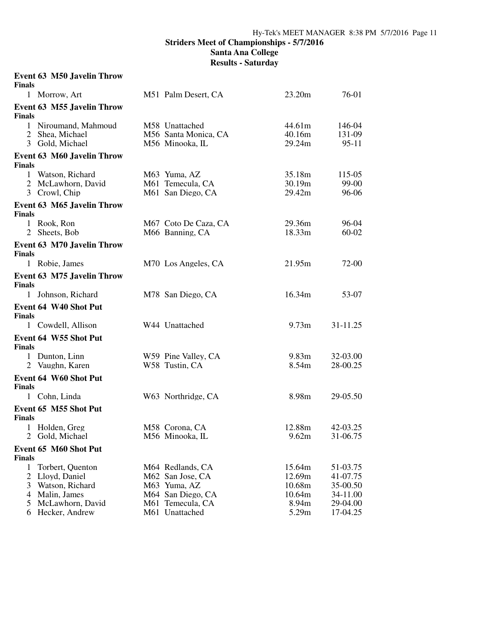| <b>Finals</b>                 | <b>Event 63 M50 Javelin Throw</b>                                    |                                                                           |                                      |                                              |
|-------------------------------|----------------------------------------------------------------------|---------------------------------------------------------------------------|--------------------------------------|----------------------------------------------|
| 1 Morrow, Art                 |                                                                      | M51 Palm Desert, CA                                                       | 23.20m                               | 76-01                                        |
| <b>Finals</b>                 | <b>Event 63 M55 Javelin Throw</b>                                    |                                                                           |                                      |                                              |
|                               | 1 Niroumand, Mahmoud<br>2 Shea, Michael<br>3 Gold, Michael           | M58 Unattached<br>M56 Santa Monica, CA<br>M56 Minooka, IL                 | 44.61m<br>40.16m<br>29.24m           | 146-04<br>131-09<br>$95-11$                  |
| <b>Finals</b>                 | <b>Event 63 M60 Javelin Throw</b>                                    |                                                                           |                                      |                                              |
| 3 Crowl, Chip                 | 1 Watson, Richard<br>2 McLawhorn, David                              | M63 Yuma, AZ<br>M61 Temecula, CA<br>M61 San Diego, CA                     | 35.18m<br>30.19m<br>29.42m           | 115-05<br>$99-00$<br>96-06                   |
| <b>Finals</b>                 | <b>Event 63 M65 Javelin Throw</b>                                    |                                                                           |                                      |                                              |
| 1 Rook, Ron<br>2 Sheets, Bob  |                                                                      | M67 Coto De Caza, CA<br>M66 Banning, CA                                   | 29.36m<br>18.33m                     | 96-04<br>$60 - 02$                           |
| <b>Finals</b>                 | <b>Event 63 M70 Javelin Throw</b>                                    |                                                                           |                                      |                                              |
| 1 Robie, James                |                                                                      | M70 Los Angeles, CA                                                       | 21.95m                               | 72-00                                        |
| <b>Finals</b>                 | <b>Event 63 M75 Javelin Throw</b>                                    |                                                                           |                                      |                                              |
|                               | 1 Johnson, Richard                                                   | M78 San Diego, CA                                                         | 16.34m                               | 53-07                                        |
| <b>Finals</b>                 | Event 64 W40 Shot Put                                                |                                                                           |                                      |                                              |
|                               | 1 Cowdell, Allison                                                   | W44 Unattached                                                            | 9.73 <sub>m</sub>                    | 31-11.25                                     |
| <b>Finals</b>                 | Event 64 W55 Shot Put                                                |                                                                           |                                      |                                              |
| 1 Dunton, Linn                | 2 Vaughn, Karen                                                      | W59 Pine Valley, CA<br>W58 Tustin, CA                                     | 9.83 <sub>m</sub><br>8.54m           | 32-03.00<br>28-00.25                         |
| <b>Finals</b>                 | Event 64 W60 Shot Put                                                |                                                                           |                                      |                                              |
| $\mathbf{1}$                  | Cohn, Linda                                                          | W63 Northridge, CA                                                        | 8.98m                                | 29-05.50                                     |
| <b>Finals</b>                 | Event 65 M55 Shot Put                                                |                                                                           |                                      |                                              |
| 1<br>2                        | Holden, Greg<br>Gold, Michael                                        | M58 Corona, CA<br>M56 Minooka, IL                                         | 12.88m<br>9.62m                      | 42-03.25<br>31-06.75                         |
| <b>Finals</b>                 | Event 65 M60 Shot Put                                                |                                                                           |                                      |                                              |
| 1<br>$\overline{2}$<br>3<br>4 | Torbert, Quenton<br>Lloyd, Daniel<br>Watson, Richard<br>Malin, James | M64 Redlands, CA<br>M62 San Jose, CA<br>M63 Yuma, AZ<br>M64 San Diego, CA | 15.64m<br>12.69m<br>10.68m<br>10.64m | 51-03.75<br>41-07.75<br>35-00.50<br>34-11.00 |
| 5<br>6                        | McLawhorn, David<br>Hecker, Andrew                                   | M61 Temecula, CA<br>M61 Unattached                                        | 8.94m<br>5.29m                       | 29-04.00<br>17-04.25                         |